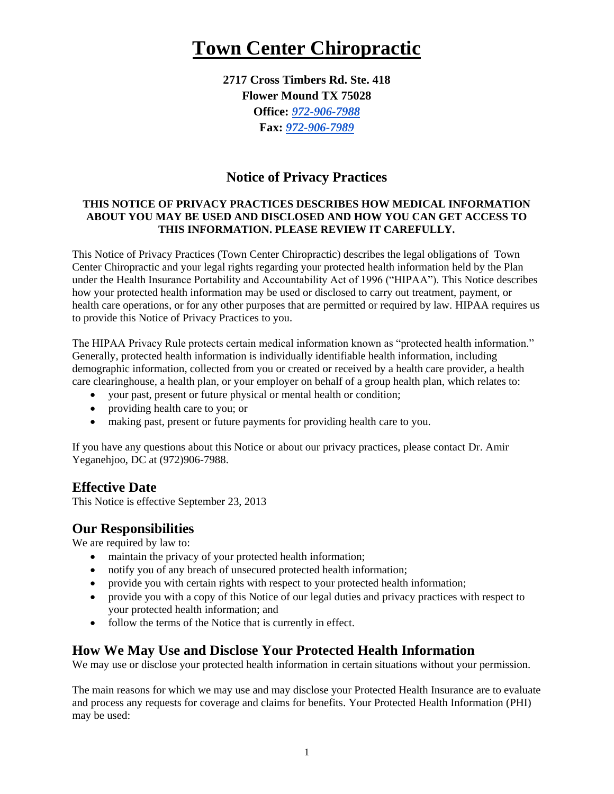# **Town Center Chiropractic**

**2717 Cross Timbers Rd. Ste. 418 Flower Mound TX 75028 Office:** *[972-906-7988](tel:972-906-7988)* **Fax:** *[972-906-7989](tel:972-906-7989)*

# **Notice of Privacy Practices**

#### **THIS NOTICE OF PRIVACY PRACTICES DESCRIBES HOW MEDICAL INFORMATION ABOUT YOU MAY BE USED AND DISCLOSED AND HOW YOU CAN GET ACCESS TO THIS INFORMATION. PLEASE REVIEW IT CAREFULLY.**

This Notice of Privacy Practices (Town Center Chiropractic) describes the legal obligations of Town Center Chiropractic and your legal rights regarding your protected health information held by the Plan under the Health Insurance Portability and Accountability Act of 1996 ("HIPAA"). This Notice describes how your protected health information may be used or disclosed to carry out treatment, payment, or health care operations, or for any other purposes that are permitted or required by law. HIPAA requires us to provide this Notice of Privacy Practices to you.

The HIPAA Privacy Rule protects certain medical information known as "protected health information." Generally, protected health information is individually identifiable health information, including demographic information, collected from you or created or received by a health care provider, a health care clearinghouse, a health plan, or your employer on behalf of a group health plan, which relates to:

- your past, present or future physical or mental health or condition;
- providing health care to you; or
- making past, present or future payments for providing health care to you.

If you have any questions about this Notice or about our privacy practices, please contact Dr. Amir Yeganehjoo, DC at (972)906-7988.

### **Effective Date**

This Notice is effective September 23, 2013

### **Our Responsibilities**

We are required by law to:

- maintain the privacy of your protected health information;
- notify you of any breach of unsecured protected health information;
- provide you with certain rights with respect to your protected health information;
- provide you with a copy of this Notice of our legal duties and privacy practices with respect to your protected health information; and
- follow the terms of the Notice that is currently in effect.

### **How We May Use and Disclose Your Protected Health Information**

We may use or disclose your protected health information in certain situations without your permission.

The main reasons for which we may use and may disclose your Protected Health Insurance are to evaluate and process any requests for coverage and claims for benefits. Your Protected Health Information (PHI) may be used: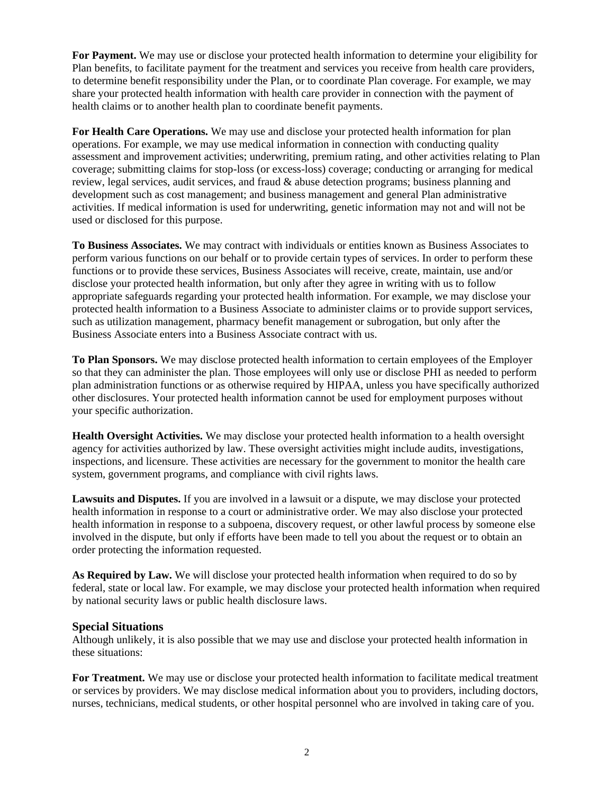**For Payment.** We may use or disclose your protected health information to determine your eligibility for Plan benefits, to facilitate payment for the treatment and services you receive from health care providers, to determine benefit responsibility under the Plan, or to coordinate Plan coverage. For example, we may share your protected health information with health care provider in connection with the payment of health claims or to another health plan to coordinate benefit payments.

**For Health Care Operations.** We may use and disclose your protected health information for plan operations. For example, we may use medical information in connection with conducting quality assessment and improvement activities; underwriting, premium rating, and other activities relating to Plan coverage; submitting claims for stop-loss (or excess-loss) coverage; conducting or arranging for medical review, legal services, audit services, and fraud  $\&$  abuse detection programs; business planning and development such as cost management; and business management and general Plan administrative activities. If medical information is used for underwriting, genetic information may not and will not be used or disclosed for this purpose.

**To Business Associates.** We may contract with individuals or entities known as Business Associates to perform various functions on our behalf or to provide certain types of services. In order to perform these functions or to provide these services, Business Associates will receive, create, maintain, use and/or disclose your protected health information, but only after they agree in writing with us to follow appropriate safeguards regarding your protected health information. For example, we may disclose your protected health information to a Business Associate to administer claims or to provide support services, such as utilization management, pharmacy benefit management or subrogation, but only after the Business Associate enters into a Business Associate contract with us.

**To Plan Sponsors.** We may disclose protected health information to certain employees of the Employer so that they can administer the plan. Those employees will only use or disclose PHI as needed to perform plan administration functions or as otherwise required by HIPAA, unless you have specifically authorized other disclosures. Your protected health information cannot be used for employment purposes without your specific authorization.

**Health Oversight Activities.** We may disclose your protected health information to a health oversight agency for activities authorized by law. These oversight activities might include audits, investigations, inspections, and licensure. These activities are necessary for the government to monitor the health care system, government programs, and compliance with civil rights laws.

**Lawsuits and Disputes.** If you are involved in a lawsuit or a dispute, we may disclose your protected health information in response to a court or administrative order. We may also disclose your protected health information in response to a subpoena, discovery request, or other lawful process by someone else involved in the dispute, but only if efforts have been made to tell you about the request or to obtain an order protecting the information requested.

**As Required by Law.** We will disclose your protected health information when required to do so by federal, state or local law. For example, we may disclose your protected health information when required by national security laws or public health disclosure laws.

#### **Special Situations**

Although unlikely, it is also possible that we may use and disclose your protected health information in these situations:

**For Treatment.** We may use or disclose your protected health information to facilitate medical treatment or services by providers. We may disclose medical information about you to providers, including doctors, nurses, technicians, medical students, or other hospital personnel who are involved in taking care of you.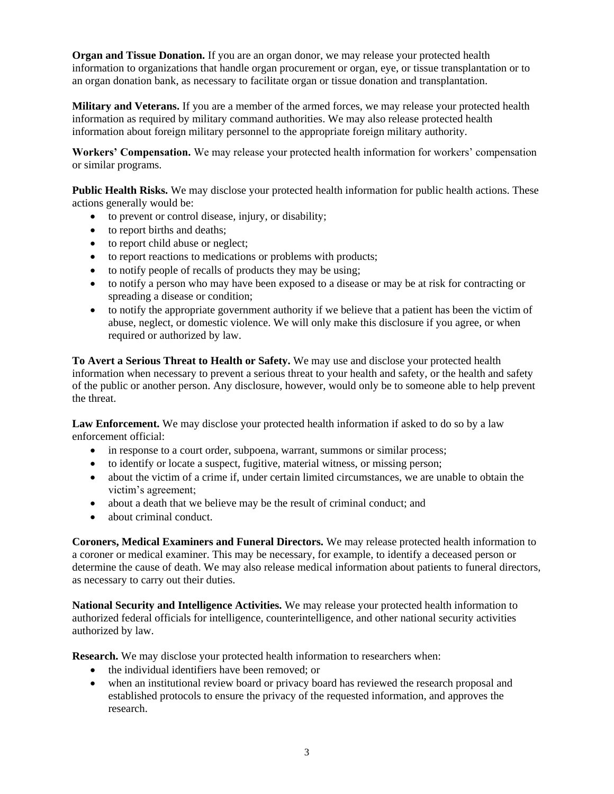**Organ and Tissue Donation.** If you are an organ donor, we may release your protected health information to organizations that handle organ procurement or organ, eye, or tissue transplantation or to an organ donation bank, as necessary to facilitate organ or tissue donation and transplantation.

**Military and Veterans.** If you are a member of the armed forces, we may release your protected health information as required by military command authorities. We may also release protected health information about foreign military personnel to the appropriate foreign military authority.

**Workers' Compensation.** We may release your protected health information for workers' compensation or similar programs.

**Public Health Risks.** We may disclose your protected health information for public health actions. These actions generally would be:

- to prevent or control disease, injury, or disability;
- to report births and deaths;
- to report child abuse or neglect;
- to report reactions to medications or problems with products;
- to notify people of recalls of products they may be using;
- to notify a person who may have been exposed to a disease or may be at risk for contracting or spreading a disease or condition;
- to notify the appropriate government authority if we believe that a patient has been the victim of abuse, neglect, or domestic violence. We will only make this disclosure if you agree, or when required or authorized by law.

**To Avert a Serious Threat to Health or Safety.** We may use and disclose your protected health information when necessary to prevent a serious threat to your health and safety, or the health and safety of the public or another person. Any disclosure, however, would only be to someone able to help prevent the threat.

**Law Enforcement.** We may disclose your protected health information if asked to do so by a law enforcement official:

- in response to a court order, subpoena, warrant, summons or similar process;
- to identify or locate a suspect, fugitive, material witness, or missing person;
- about the victim of a crime if, under certain limited circumstances, we are unable to obtain the victim's agreement;
- about a death that we believe may be the result of criminal conduct; and
- about criminal conduct.

**Coroners, Medical Examiners and Funeral Directors.** We may release protected health information to a coroner or medical examiner. This may be necessary, for example, to identify a deceased person or determine the cause of death. We may also release medical information about patients to funeral directors, as necessary to carry out their duties.

**National Security and Intelligence Activities.** We may release your protected health information to authorized federal officials for intelligence, counterintelligence, and other national security activities authorized by law.

**Research.** We may disclose your protected health information to researchers when:

- the individual identifiers have been removed; or
- when an institutional review board or privacy board has reviewed the research proposal and established protocols to ensure the privacy of the requested information, and approves the research.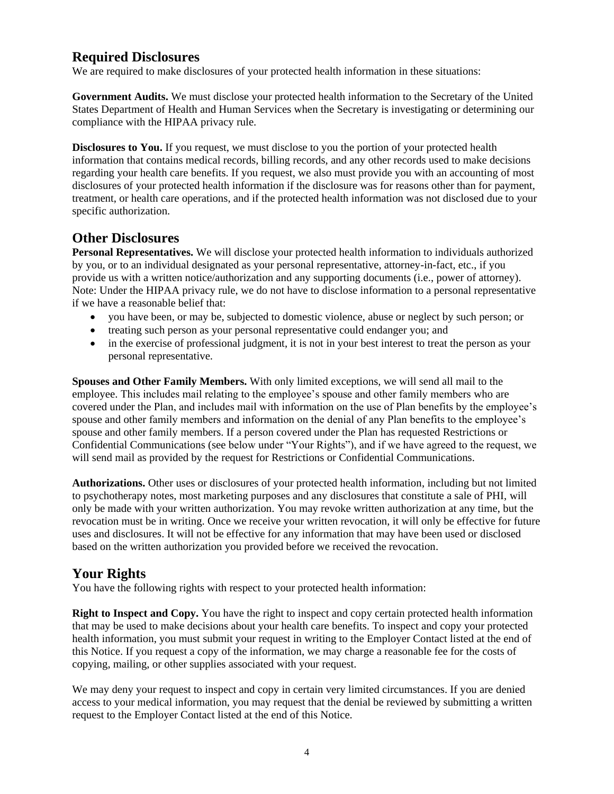# **Required Disclosures**

We are required to make disclosures of your protected health information in these situations:

**Government Audits.** We must disclose your protected health information to the Secretary of the United States Department of Health and Human Services when the Secretary is investigating or determining our compliance with the HIPAA privacy rule.

**Disclosures to You.** If you request, we must disclose to you the portion of your protected health information that contains medical records, billing records, and any other records used to make decisions regarding your health care benefits. If you request, we also must provide you with an accounting of most disclosures of your protected health information if the disclosure was for reasons other than for payment, treatment, or health care operations, and if the protected health information was not disclosed due to your specific authorization.

## **Other Disclosures**

**Personal Representatives.** We will disclose your protected health information to individuals authorized by you, or to an individual designated as your personal representative, attorney-in-fact, etc., if you provide us with a written notice/authorization and any supporting documents (i.e., power of attorney). Note: Under the HIPAA privacy rule, we do not have to disclose information to a personal representative if we have a reasonable belief that:

- you have been, or may be, subjected to domestic violence, abuse or neglect by such person; or
- treating such person as your personal representative could endanger you; and
- in the exercise of professional judgment, it is not in your best interest to treat the person as your personal representative.

**Spouses and Other Family Members.** With only limited exceptions, we will send all mail to the employee. This includes mail relating to the employee's spouse and other family members who are covered under the Plan, and includes mail with information on the use of Plan benefits by the employee's spouse and other family members and information on the denial of any Plan benefits to the employee's spouse and other family members. If a person covered under the Plan has requested Restrictions or Confidential Communications (see below under "Your Rights"), and if we have agreed to the request, we will send mail as provided by the request for Restrictions or Confidential Communications.

**Authorizations.** Other uses or disclosures of your protected health information, including but not limited to psychotherapy notes, most marketing purposes and any disclosures that constitute a sale of PHI, will only be made with your written authorization. You may revoke written authorization at any time, but the revocation must be in writing. Once we receive your written revocation, it will only be effective for future uses and disclosures. It will not be effective for any information that may have been used or disclosed based on the written authorization you provided before we received the revocation.

# **Your Rights**

You have the following rights with respect to your protected health information:

**Right to Inspect and Copy.** You have the right to inspect and copy certain protected health information that may be used to make decisions about your health care benefits. To inspect and copy your protected health information, you must submit your request in writing to the Employer Contact listed at the end of this Notice. If you request a copy of the information, we may charge a reasonable fee for the costs of copying, mailing, or other supplies associated with your request.

We may deny your request to inspect and copy in certain very limited circumstances. If you are denied access to your medical information, you may request that the denial be reviewed by submitting a written request to the Employer Contact listed at the end of this Notice*.*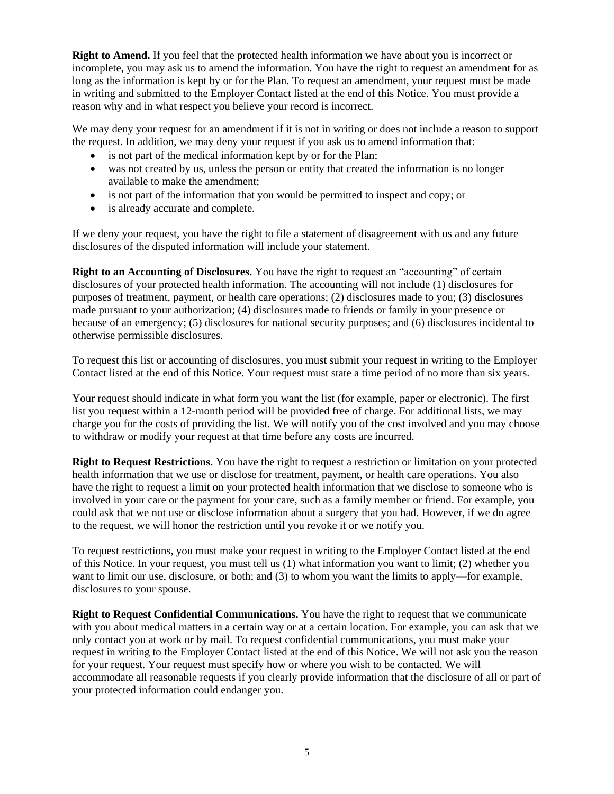**Right to Amend.** If you feel that the protected health information we have about you is incorrect or incomplete, you may ask us to amend the information. You have the right to request an amendment for as long as the information is kept by or for the Plan. To request an amendment, your request must be made in writing and submitted to the Employer Contact listed at the end of this Notice. You must provide a reason why and in what respect you believe your record is incorrect.

We may deny your request for an amendment if it is not in writing or does not include a reason to support the request. In addition, we may deny your request if you ask us to amend information that:

- is not part of the medical information kept by or for the Plan;
- was not created by us, unless the person or entity that created the information is no longer available to make the amendment;
- is not part of the information that you would be permitted to inspect and copy; or
- is already accurate and complete.

If we deny your request, you have the right to file a statement of disagreement with us and any future disclosures of the disputed information will include your statement.

**Right to an Accounting of Disclosures.** You have the right to request an "accounting" of certain disclosures of your protected health information. The accounting will not include (1) disclosures for purposes of treatment, payment, or health care operations; (2) disclosures made to you; (3) disclosures made pursuant to your authorization; (4) disclosures made to friends or family in your presence or because of an emergency; (5) disclosures for national security purposes; and (6) disclosures incidental to otherwise permissible disclosures.

To request this list or accounting of disclosures, you must submit your request in writing to the Employer Contact listed at the end of this Notice. Your request must state a time period of no more than six years.

Your request should indicate in what form you want the list (for example, paper or electronic). The first list you request within a 12-month period will be provided free of charge. For additional lists, we may charge you for the costs of providing the list. We will notify you of the cost involved and you may choose to withdraw or modify your request at that time before any costs are incurred.

**Right to Request Restrictions.** You have the right to request a restriction or limitation on your protected health information that we use or disclose for treatment, payment, or health care operations. You also have the right to request a limit on your protected health information that we disclose to someone who is involved in your care or the payment for your care, such as a family member or friend. For example, you could ask that we not use or disclose information about a surgery that you had. However, if we do agree to the request, we will honor the restriction until you revoke it or we notify you.

To request restrictions, you must make your request in writing to the Employer Contact listed at the end of this Notice. In your request, you must tell us (1) what information you want to limit; (2) whether you want to limit our use, disclosure, or both; and (3) to whom you want the limits to apply—for example, disclosures to your spouse.

**Right to Request Confidential Communications.** You have the right to request that we communicate with you about medical matters in a certain way or at a certain location. For example, you can ask that we only contact you at work or by mail. To request confidential communications, you must make your request in writing to the Employer Contact listed at the end of this Notice. We will not ask you the reason for your request. Your request must specify how or where you wish to be contacted. We will accommodate all reasonable requests if you clearly provide information that the disclosure of all or part of your protected information could endanger you.